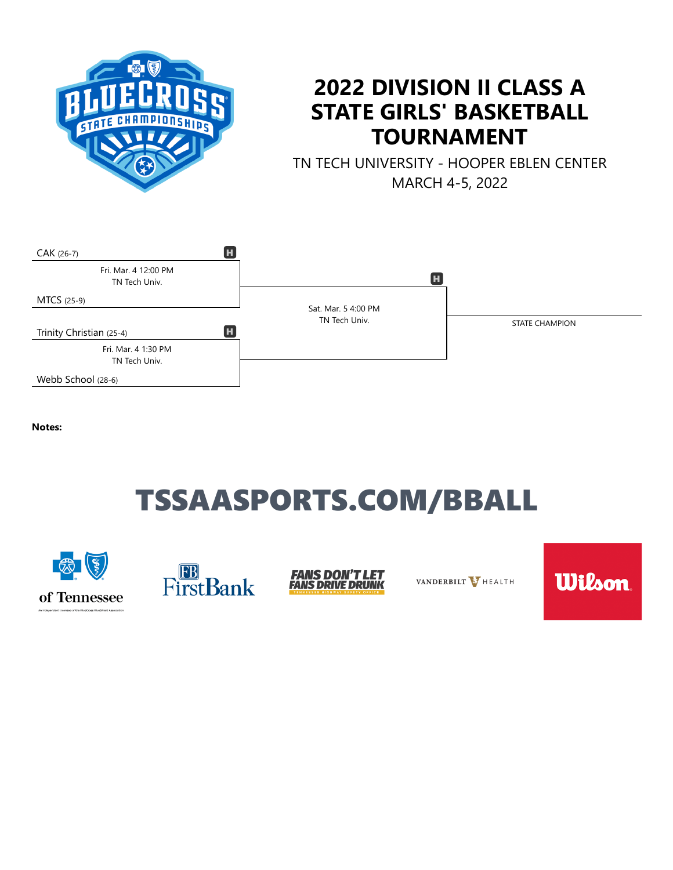

## **2022 DIVISION II CLASS A STATE GIRLS' BASKETBALL TOURNAMENT**

TN TECH UNIVERSITY - HOOPER EBLEN CENTER MARCH 4-5, 2022



**Notes:**

# TSSAASPORTS.COM/BBALL







VANDERBILT V HEALTH

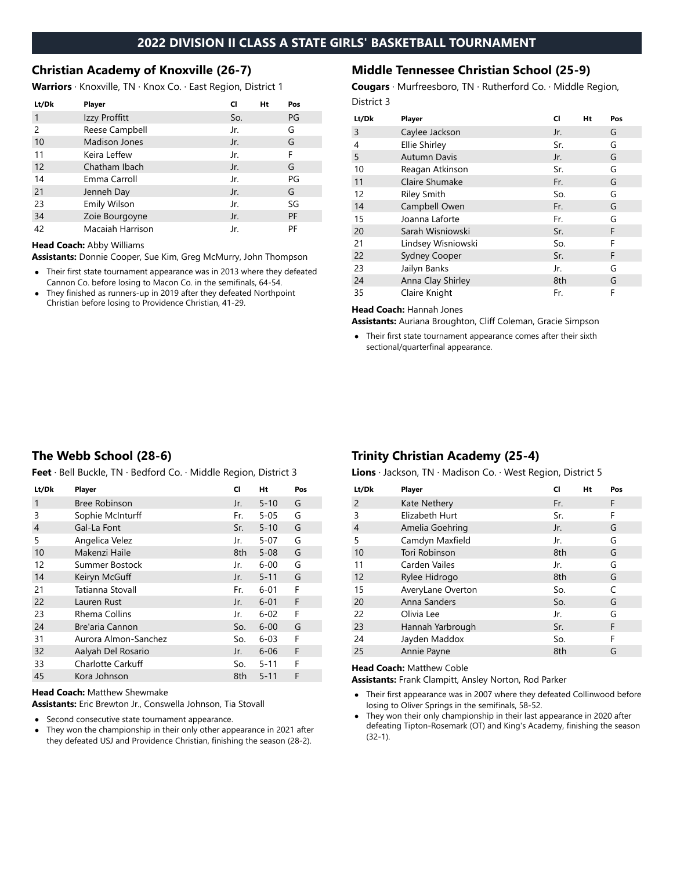#### **Christian Academy of Knoxville (26-7)**

**Warriors** · Knoxville, TN · Knox Co. · East Region, District 1

| Lt/Dk         | <b>Player</b>        | CI  | Ht | Pos       |
|---------------|----------------------|-----|----|-----------|
| 1             | Izzy Proffitt        | So. |    | PG        |
| $\mathcal{P}$ | Reese Campbell       | Jr. |    | G         |
| 10            | <b>Madison Jones</b> | Jr. |    | G         |
| 11            | Keira Leffew         | Jr. |    | F         |
| 12            | Chatham Ibach        | Jr. |    | G         |
| 14            | Emma Carroll         | Jr. |    | PG        |
| 21            | Jenneh Day           | Jr. |    | G         |
| 23            | <b>Emily Wilson</b>  | Jr. |    | SG        |
| 34            | Zoie Bourgoyne       | Jr. |    | <b>PF</b> |
| 42            | Macaiah Harrison     | Jr. |    | PF        |

#### **Head Coach:** Abby Williams

**Assistants:** Donnie Cooper, Sue Kim, Greg McMurry, John Thompson

- Their first state tournament appearance was in 2013 where they defeated Cannon Co. before losing to Macon Co. in the semifinals, 64-54.
- They finished as runners-up in 2019 after they defeated Northpoint Christian before losing to Providence Christian, 41-29.

#### **Middle Tennessee Christian School (25-9)**

**Cougars** · Murfreesboro, TN · Rutherford Co. · Middle Region, District 3

| Lt/Dk | Player               | CI  | Ht | Pos |
|-------|----------------------|-----|----|-----|
| 3     | Caylee Jackson       | Jr. |    | G   |
| 4     | <b>Ellie Shirley</b> | Sr. |    | G   |
| 5     | <b>Autumn Davis</b>  | Jr. |    | G   |
| 10    | Reagan Atkinson      | Sr. |    | G   |
| 11    | Claire Shumake       | Fr. |    | G   |
| 12    | <b>Riley Smith</b>   | So. |    | G   |
| 14    | Campbell Owen        | Fr. |    | G   |
| 15    | Joanna Laforte       | Fr. |    | G   |
| 20    | Sarah Wisniowski     | Sr. |    | F   |
| 21    | Lindsey Wisniowski   | So. |    | F   |
| 22    | <b>Sydney Cooper</b> | Sr. |    | F   |
| 23    | Jailyn Banks         | Jr. |    | G   |
| 24    | Anna Clay Shirley    | 8th |    | G   |
| 35    | Claire Knight        | Fr. |    | F   |

**Head Coach:** Hannah Jones

**Assistants:** Auriana Broughton, Cliff Coleman, Gracie Simpson

Their first state tournament appearance comes after their sixth sectional/quarterfinal appearance.

## **The Webb School (28-6)**

**Feet** · Bell Buckle, TN · Bedford Co. · Middle Region, District 3

| Lt/Dk | <b>Player</b>            | CI  | Ht       | Pos |
|-------|--------------------------|-----|----------|-----|
| 1     | <b>Bree Robinson</b>     | Jr. | $5 - 10$ | G   |
| 3     | Sophie McInturff         | Fr. | $5 - 05$ | G   |
| 4     | Gal-La Font              | Sr. | $5 - 10$ | G   |
| 5     | Angelica Velez           | Jr. | $5 - 07$ | G   |
| 10    | Makenzi Haile            | 8th | $5 - 08$ | G   |
| 12    | Summer Bostock           | Jr. | $6 - 00$ | G   |
| 14    | Keiryn McGuff            | Jr. | $5 - 11$ | G   |
| 21    | Tatianna Stovall         | Fr. | $6 - 01$ | F   |
| 22    | Lauren Rust              | Jr. | $6 - 01$ | F   |
| 23    | Rhema Collins            | Jr. | $6 - 02$ | F   |
| 24    | Bre'aria Cannon          | So. | $6 - 00$ | G   |
| 31    | Aurora Almon-Sanchez     | So. | $6 - 03$ | F   |
| 32    | Aalyah Del Rosario       | Jr. | $6 - 06$ | F   |
| 33    | <b>Charlotte Carkuff</b> | So. | $5 - 11$ | F   |
| 45    | Kora Johnson             | 8th | $5 - 11$ | F   |

#### **Head Coach:** Matthew Shewmake

**Assistants:** Eric Brewton Jr., Conswella Johnson, Tia Stovall

- Second consecutive state tournament appearance.
- They won the championship in their only other appearance in 2021 after  $\bullet$ they defeated USJ and Providence Christian, finishing the season (28-2).

## **Trinity Christian Academy (25-4)**

**Lions** · Jackson, TN · Madison Co. · West Region, District 5

| Lt/Dk          | <b>Player</b>     | CI  | Ht | Pos |
|----------------|-------------------|-----|----|-----|
| $\overline{2}$ | Kate Nethery      | Fr. |    | F   |
| 3              | Elizabeth Hurt    | Sr. |    | F   |
| $\overline{4}$ | Amelia Goehring   | Jr. |    | G   |
| 5              | Camdyn Maxfield   | Jr. |    | G   |
| 10             | Tori Robinson     | 8th |    | G   |
| 11             | Carden Vailes     | Jr. |    | G   |
| 12             | Rylee Hidrogo     | 8th |    | G   |
| 15             | AveryLane Overton | So. |    | C   |
| 20             | Anna Sanders      | So. |    | G   |
| 22             | Olivia Lee        | Jr. |    | G   |
| 23             | Hannah Yarbrough  | Sr. |    | F   |
| 24             | Jayden Maddox     | So. |    | F   |
| 25             | Annie Payne       | 8th |    | G   |

#### **Head Coach:** Matthew Coble

**Assistants:** Frank Clampitt, Ansley Norton, Rod Parker

- Their first appearance was in 2007 where they defeated Collinwood before losing to Oliver Springs in the semifinals, 58-52.
- $\bullet$ They won their only championship in their last appearance in 2020 after defeating Tipton-Rosemark (OT) and King's Academy, finishing the season (32-1).